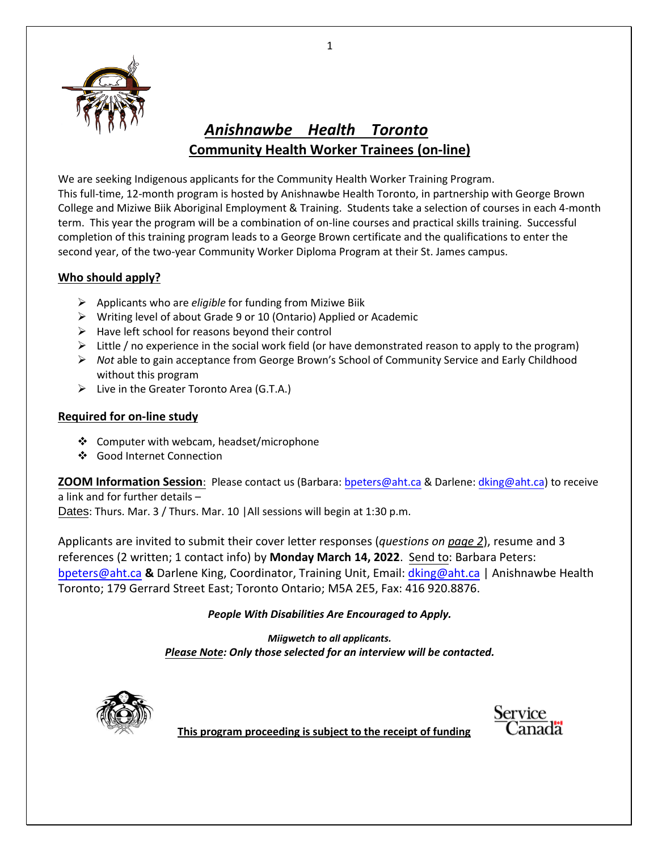

## *Anishnawbe Health Toronto* **Community Health Worker Trainees (on-line)**

We are seeking Indigenous applicants for the Community Health Worker Training Program. This full-time, 12-month program is hosted by Anishnawbe Health Toronto, in partnership with George Brown College and Miziwe Biik Aboriginal Employment & Training. Students take a selection of courses in each 4-month term. This year the program will be a combination of on-line courses and practical skills training. Successful completion of this training program leads to a George Brown certificate and the qualifications to enter the second year, of the two-year Community Worker Diploma Program at their St. James campus.

#### **Who should apply?**

- Applicants who are *eligible* for funding from Miziwe Biik
- Writing level of about Grade 9 or 10 (Ontario) Applied or Academic
- $\triangleright$  Have left school for reasons beyond their control
- $\triangleright$  Little / no experience in the social work field (or have demonstrated reason to apply to the program)
- *Not* able to gain acceptance from George Brown's School of Community Service and Early Childhood without this program
- $\triangleright$  Live in the Greater Toronto Area (G.T.A.)

#### **Required for on-line study**

- ❖ Computer with webcam, headset/microphone
- Good Internet Connection

**ZOOM Information Session**: Please contact us (Barbara: [bpeters@aht.ca](mailto:bpeters@aht.ca) & Darlene: [dking@aht.ca\)](mailto:dking@aht.ca) to receive a link and for further details –

Dates: Thurs. Mar. 3 / Thurs. Mar. 10 | All sessions will begin at 1:30 p.m.

Applicants are invited to submit their cover letter responses (*questions on page 2*), resume and 3 references (2 written; 1 contact info) by **Monday March 14, 2022**. Send to: Barbara Peters: [bpeters@aht.ca](mailto:bpeters@aht.ca) **&** Darlene King, Coordinator, Training Unit, Email: [dking@aht.ca](mailto:dking@aht.ca) | Anishnawbe Health Toronto; 179 Gerrard Street East; Toronto Ontario; M5A 2E5, Fax: 416 920.8876.

#### *People With Disabilities Are Encouraged to Apply.*

*Miigwetch to all applicants. Please Note: Only those selected for an interview will be contacted.*



Service

**This program proceeding is subject to the receipt of funding** 

1